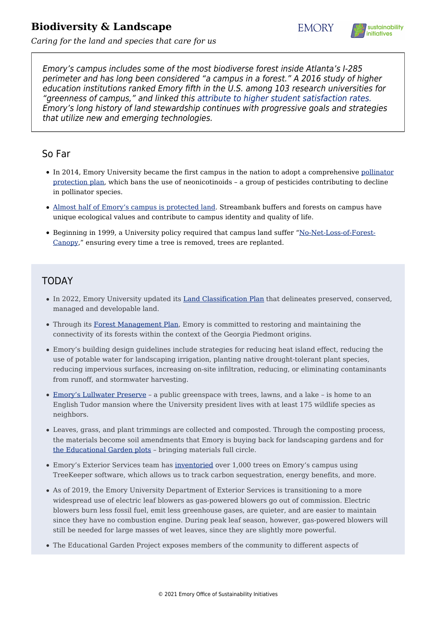## **Biodiversity & Landscape**





*Caring for the land and species that care for us*

Emory's campus includes some of the most biodiverse forest inside Atlanta's I-285 perimeter and has long been considered "a campus in a forest." A 2016 study of higher education institutions ranked Emory fifth in the U.S. among 103 research universities for "greenness of campus," and linked this [attribute to higher student satisfaction rates.](https://www.scup.org/resource/campus-does-matter/) Emory's long history of land stewardship continues with progressive goals and strategies that utilize new and emerging technologies.

## So Far

- In 2014, Emory University became the first campus in the nation to adopt a comprehensive [pollinator](https://news.emory.edu/stories/2014/09/er_bee_pledge_commitment/campus.html) [protection plan](https://news.emory.edu/stories/2014/09/er_bee_pledge_commitment/campus.html), which bans the use of neonicotinoids – a group of pesticides contributing to decline in pollinator species.
- [Almost half of Emory's campus is protected land](https://sustainability.emory.edu/resources/land-classification-plan-2017/). Streambank buffers and forests on campus have unique ecological values and contribute to campus identity and quality of life.
- Beginning in 1999, a University policy required that campus land suffer "[No-Net-Loss-of-Forest-](http://www.campserv.emory.edu/fm/documents/forest_canopy.pdf)[Canopy,](http://www.campserv.emory.edu/fm/documents/forest_canopy.pdf)" ensuring every time a tree is removed, trees are replanted.

## TODAY

- In 2022, Emory University updated its [Land Classification Plan](https://sustainability.emory.edu/resources/emory-university-2022-land-classification-plan/) that delineates preserved, conserved, managed and developable land.
- Through its [Forest Management Plan,](https://guides.libraries.emory.edu/ld.php?content_id=48485180) Emory is committed to restoring and maintaining the connectivity of its forests within the context of the Georgia Piedmont origins.
- Emory's building design guidelines include strategies for reducing heat island effect, reducing the use of potable water for landscaping irrigation, planting native drought-tolerant plant species, reducing impervious surfaces, increasing on-site infiltration, reducing, or eliminating contaminants from runoff, and stormwater harvesting.
- [Emory's Lullwater Preserve](http://emoryhistory.emory.edu/facts-figures/places/landmarks/lullwater.html)  a public greenspace with trees, lawns, and a lake is home to an English Tudor mansion where the University president lives with at least 175 wildlife species as neighbors.
- Leaves, grass, and plant trimmings are collected and composted. Through the composting process, the materials become soil amendments that Emory is buying back for landscaping gardens and for [the Educational Garden plots](http://sustainability.emory.edu/programs/gardens-farming/) – bringing materials full circle.
- Emory's Exterior Services team has [inventoried](https://emoryuniversityga.treekeepersoftware.com/index.cfm) over 1,000 trees on Emory's campus using TreeKeeper software, which allows us to track carbon sequestration, energy benefits, and more.
- As of 2019, the Emory University Department of Exterior Services is transitioning to a more widespread use of electric leaf blowers as gas-powered blowers go out of commission. Electric blowers burn less fossil fuel, emit less greenhouse gases, are quieter, and are easier to maintain since they have no combustion engine. During peak leaf season, however, gas-powered blowers will still be needed for large masses of wet leaves, since they are slightly more powerful.
- The Educational Garden Project exposes members of the community to different aspects of